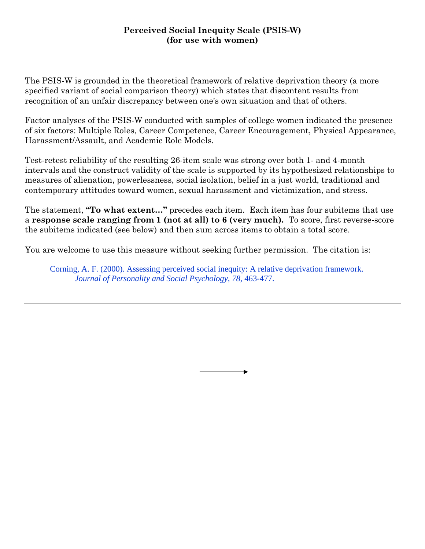The PSIS-W is grounded in the theoretical framework of relative deprivation theory (a more specified variant of social comparison theory) which states that discontent results from recognition of an unfair discrepancy between one's own situation and that of others.

Factor analyses of the PSIS-W conducted with samples of college women indicated the presence of six factors: Multiple Roles, Career Competence, Career Encouragement, Physical Appearance, Harassment/Assault, and Academic Role Models.

Test-retest reliability of the resulting 26-item scale was strong over both 1- and 4-month intervals and the construct validity of the scale is supported by its hypothesized relationships to measures of alienation, powerlessness, social isolation, belief in a just world, traditional and contemporary attitudes toward women, sexual harassment and victimization, and stress.

The statement, **"To what extent…"** precedes each item. Each item has four subitems that use a **response scale ranging from 1 (not at all) to 6 (very much).** To score, first reverse-score the subitems indicated (see below) and then sum across items to obtain a total score.

You are welcome to use this measure without seeking further permission. The citation is:

Corning, A. F. (2000). Assessing perceived social inequity: A relative deprivation framework. *Journal of Personality and Social Psychology, 78*, 463-477.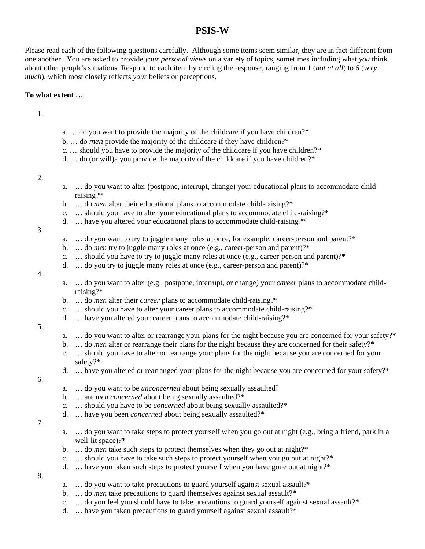## **PSIS-W**

Please read each of the following questions carefully. Although some items seem similar, they are in fact different from one another. You are asked to provide *your personal views* on a variety of topics, sometimes including what *you* think about other people's situations. Respond to each item by circling the response, ranging from 1 (*not at all*) to 6 (*very much*), which most closely reflects *your* beliefs or perceptions.

## **To what extent …**

1.

- a. … do you want to provide the majority of the childcare if you have children?\*
- b. … do *men* provide the majority of the childcare if they have children?\*
- c. … should you have to provide the majority of the childcare if you have children?\*
- d. … do (or will)a you provide the majority of the childcare if you have children?\*

 $2<sup>2</sup>$ 

- a. … do you want to alter (postpone, interrupt, change) your educational plans to accommodate childraising?\*
- b. … do *men* alter their educational plans to accommodate child-raising?\*
- c. … should you have to alter your educational plans to accommodate child-raising?\*
- d. … have you altered your educational plans to accommodate child-raising?\*

3.

- a. … do you want to try to juggle many roles at once, for example, career-person and parent?\*
- b. ... do *men* try to juggle many roles at once (e.g., career-person and parent)?\*
- c.  $\ldots$  should you have to try to juggle many roles at once (e.g., career-person and parent)?\*
- d.  $\ldots$  do you try to juggle many roles at once (e.g., career-person and parent)?\*

4.

- a. … do you want to alter (e.g., postpone, interrupt, or change) your *career* plans to accommodate childraising?\*
- b. … do *men* alter their *career* plans to accommodate child-raising?\*
- c. … should you have to alter your career plans to accommodate child-raising?\*
- d. … have you altered your career plans to accommodate child-raising?\*

## 5.

- a. ... do you want to alter or rearrange your plans for the night because you are concerned for your safety?\*
- b. ... do *men* alter or rearrange their plans for the night because they are concerned for their safety?\*
- c. … should you have to alter or rearrange your plans for the night because you are concerned for your safety?\*
- d. … have you altered or rearranged your plans for the night because you are concerned for your safety?\*

6.

- a. … do you want to be *unconcerned* about being sexually assaulted?
- b. … are *men concerned* about being sexually assaulted?\*
- c. … should you have to be *concerned* about being sexually assaulted?\*
- d. … have you been *concerned* about being sexually assaulted?\*
- 7.
- a. … do you want to take steps to protect yourself when you go out at night (e.g., bring a friend, park in a well-lit space)?\*
- b. ... do *men* take such steps to protect themselves when they go out at night?\*
- c.  $\ldots$  should you have to take such steps to protect yourself when you go out at night?\*
- d. … have you taken such steps to protect yourself when you have gone out at night?\*

8.

- a. … do you want to take precautions to guard yourself against sexual assault?\*
- b. ... do *men* take precautions to guard themselves against sexual assault?\*
- c. … do you feel you should have to take precautions to guard yourself against sexual assault?\*
- d. … have you taken precautions to guard yourself against sexual assault?\*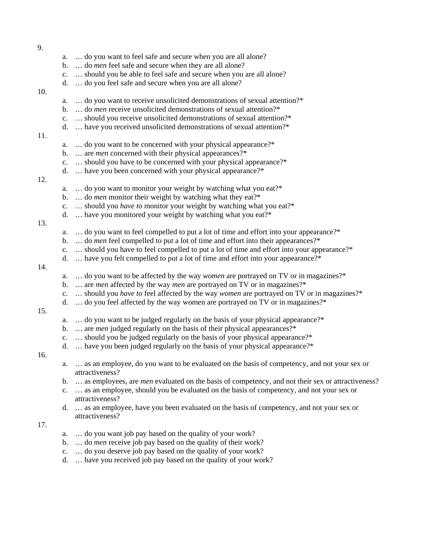| 9.  |                |                                                                                                                |
|-----|----------------|----------------------------------------------------------------------------------------------------------------|
|     | a.             | do you want to feel safe and secure when you are all alone?                                                    |
|     | b.             | do <i>men</i> feel safe and secure when they are all alone?                                                    |
|     | $\mathbf{c}.$  | should you be able to feel safe and secure when you are all alone?                                             |
|     | d.             | do you feel safe and secure when you are all alone?                                                            |
| 10. |                |                                                                                                                |
|     | a.             | do you want to receive unsolicited demonstrations of sexual attention?*                                        |
|     | b.             | do <i>men</i> receive unsolicited demonstrations of sexual attention?*                                         |
|     | c.             | should you receive unsolicited demonstrations of sexual attention?*                                            |
|     | d.             | have you received unsolicited demonstrations of sexual attention?*                                             |
| 11. |                |                                                                                                                |
|     | a.             | do you want to be concerned with your physical appearance?*                                                    |
|     | b.             | are <i>men</i> concerned with their physical appearances?*                                                     |
|     | c.             | should you have to be concerned with your physical appearance?*                                                |
|     | d.             | have you been concerned with your physical appearance?*                                                        |
| 12. |                |                                                                                                                |
|     | a.             | do you want to monitor your weight by watching what you eat?*                                                  |
|     | b.             | do <i>men</i> monitor their weight by watching what they eat?*                                                 |
|     | $\mathbf{c}.$  | should you have to monitor your weight by watching what you eat?*                                              |
|     | d.             | have you monitored your weight by watching what you eat?*                                                      |
| 13. |                |                                                                                                                |
|     | a.             | do you want to feel compelled to put a lot of time and effort into your appearance?*                           |
|     | b.             | do <i>men</i> feel compelled to put a lot of time and effort into their appearances?*                          |
|     | c.             | should you have to feel compelled to put a lot of time and effort into your appearance?*                       |
|     | d.             | have you felt compelled to put a lot of time and effort into your appearance?*                                 |
| 14. |                |                                                                                                                |
|     | a.             | do you want to be affected by the way women are portrayed on TV or in magazines?*                              |
|     | b.             | are <i>men</i> affected by the way <i>men</i> are portrayed on TV or in magazines?*                            |
|     | $\mathbf{C}$ . | should you have to feel affected by the way women are portrayed on TV or in magazines?*                        |
|     | d.             | do you feel affected by the way women are portrayed on TV or in magazines?*                                    |
| 15. |                |                                                                                                                |
|     | a.             | do you want to be judged regularly on the basis of your physical appearance?*                                  |
|     | b.             | are <i>men</i> judged regularly on the basis of their physical appearances?*                                   |
|     | $\mathbf{c}.$  | should you be judged regularly on the basis of your physical appearance?*                                      |
|     | d.             | have you been judged regularly on the basis of your physical appearance?*                                      |
| 16. |                |                                                                                                                |
|     | a.             | as an employee, do you want to be evaluated on the basis of competency, and not your sex or<br>attractiveness? |
|     |                | as employees, are <i>men</i> evaluated on the basis of competency, and not their sex or attractiveness?        |
|     | b.             | as an employee, should you be evaluated on the basis of competency, and not your sex or                        |
|     | $\mathbf{c}.$  | attractiveness?                                                                                                |
|     | d.             | as an employee, have you been evaluated on the basis of competency, and not your sex or                        |
|     |                | attractiveness?                                                                                                |
| 17. |                |                                                                                                                |
|     | a.             | do you want job pay based on the quality of your work?                                                         |
|     | b.             | do <i>men</i> receive job pay based on the quality of their work?                                              |
|     | c.             | do you deserve job pay based on the quality of your work?                                                      |
|     |                |                                                                                                                |

d. … have you received job pay based on the quality of your work?